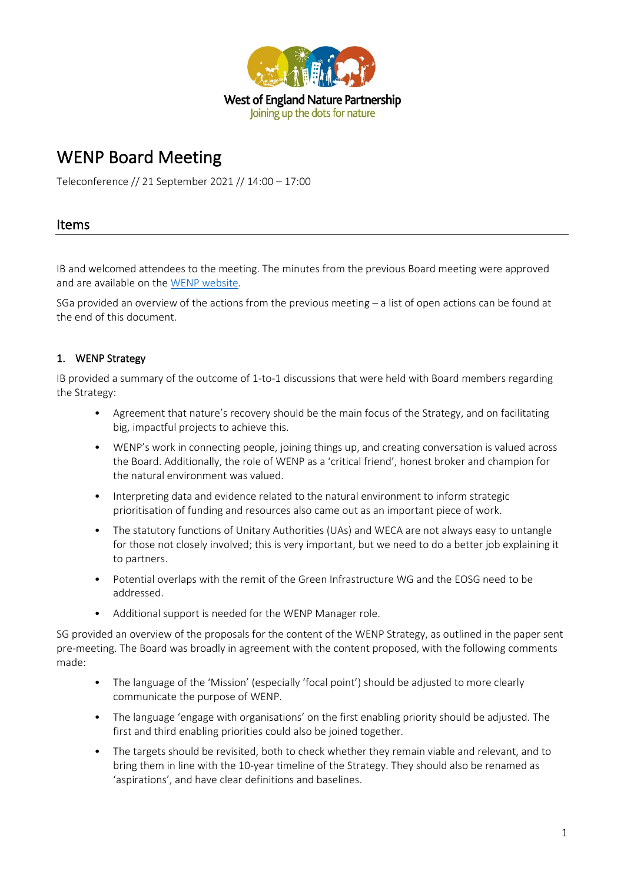

# WENP Board Meeting

Teleconference // 21 September 2021 // 14:00 – 17:00

# Items

IB and welcomed attendees to the meeting. The minutes from the previous Board meeting were approved and are available on th[e WENP website.](https://www.wenp.org.uk/wp-content/uploads/2021/09/2021.06-WENP-Board-Minutes.pdf)

SGa provided an overview of the actions from the previous meeting – a list of open actions can be found at the end of this document.

## 1. WENP Strategy

IB provided a summary of the outcome of 1-to-1 discussions that were held with Board members regarding the Strategy:

- Agreement that nature's recovery should be the main focus of the Strategy, and on facilitating big, impactful projects to achieve this.
- WENP's work in connecting people, joining things up, and creating conversation is valued across the Board. Additionally, the role of WENP as a 'critical friend', honest broker and champion for the natural environment was valued.
- Interpreting data and evidence related to the natural environment to inform strategic prioritisation of funding and resources also came out as an important piece of work.
- The statutory functions of Unitary Authorities (UAs) and WECA are not always easy to untangle for those not closely involved; this is very important, but we need to do a better job explaining it to partners.
- Potential overlaps with the remit of the Green Infrastructure WG and the EOSG need to be addressed.
- Additional support is needed for the WENP Manager role.

SG provided an overview of the proposals for the content of the WENP Strategy, as outlined in the paper sent pre-meeting. The Board was broadly in agreement with the content proposed, with the following comments made:

- The language of the 'Mission' (especially 'focal point') should be adjusted to more clearly communicate the purpose of WENP.
- The language 'engage with organisations' on the first enabling priority should be adjusted. The first and third enabling priorities could also be joined together.
- The targets should be revisited, both to check whether they remain viable and relevant, and to bring them in line with the 10-year timeline of the Strategy. They should also be renamed as 'aspirations', and have clear definitions and baselines.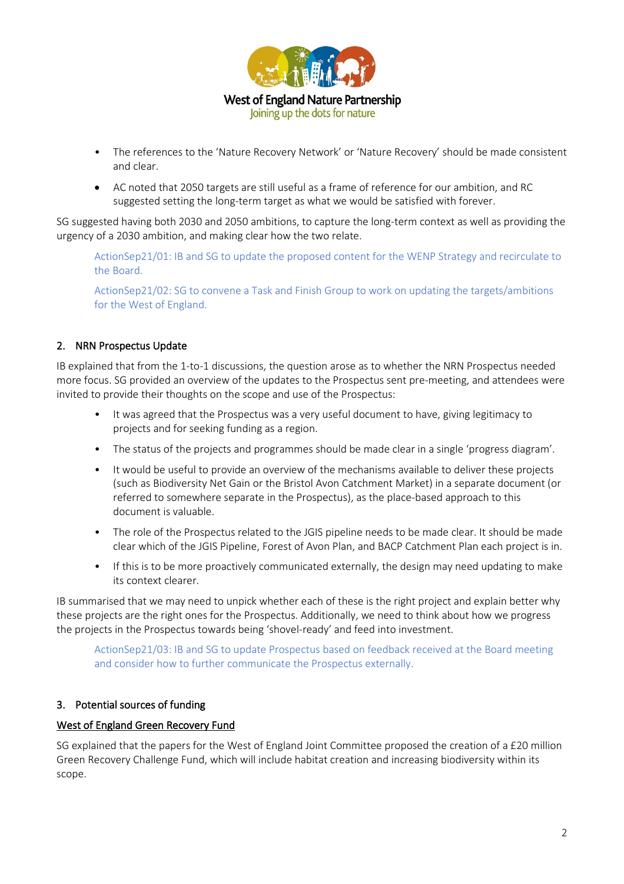

- The references to the 'Nature Recovery Network' or 'Nature Recovery' should be made consistent and clear.
- AC noted that 2050 targets are still useful as a frame of reference for our ambition, and RC suggested setting the long-term target as what we would be satisfied with forever.

SG suggested having both 2030 and 2050 ambitions, to capture the long-term context as well as providing the urgency of a 2030 ambition, and making clear how the two relate.

ActionSep21/01: IB and SG to update the proposed content for the WENP Strategy and recirculate to the Board.

ActionSep21/02: SG to convene a Task and Finish Group to work on updating the targets/ambitions for the West of England.

### 2. NRN Prospectus Update

IB explained that from the 1-to-1 discussions, the question arose as to whether the NRN Prospectus needed more focus. SG provided an overview of the updates to the Prospectus sent pre-meeting, and attendees were invited to provide their thoughts on the scope and use of the Prospectus:

- It was agreed that the Prospectus was a very useful document to have, giving legitimacy to projects and for seeking funding as a region.
- The status of the projects and programmes should be made clear in a single 'progress diagram'.
- It would be useful to provide an overview of the mechanisms available to deliver these projects (such as Biodiversity Net Gain or the Bristol Avon Catchment Market) in a separate document (or referred to somewhere separate in the Prospectus), as the place-based approach to this document is valuable.
- The role of the Prospectus related to the JGIS pipeline needs to be made clear. It should be made clear which of the JGIS Pipeline, Forest of Avon Plan, and BACP Catchment Plan each project is in.
- If this is to be more proactively communicated externally, the design may need updating to make its context clearer.

IB summarised that we may need to unpick whether each of these is the right project and explain better why these projects are the right ones for the Prospectus. Additionally, we need to think about how we progress the projects in the Prospectus towards being 'shovel-ready' and feed into investment.

ActionSep21/03: IB and SG to update Prospectus based on feedback received at the Board meeting and consider how to further communicate the Prospectus externally.

#### 3. Potential sources of funding

#### West of England Green Recovery Fund

SG explained that the papers for the West of England Joint Committee proposed the creation of a £20 million Green Recovery Challenge Fund, which will include habitat creation and increasing biodiversity within its scope.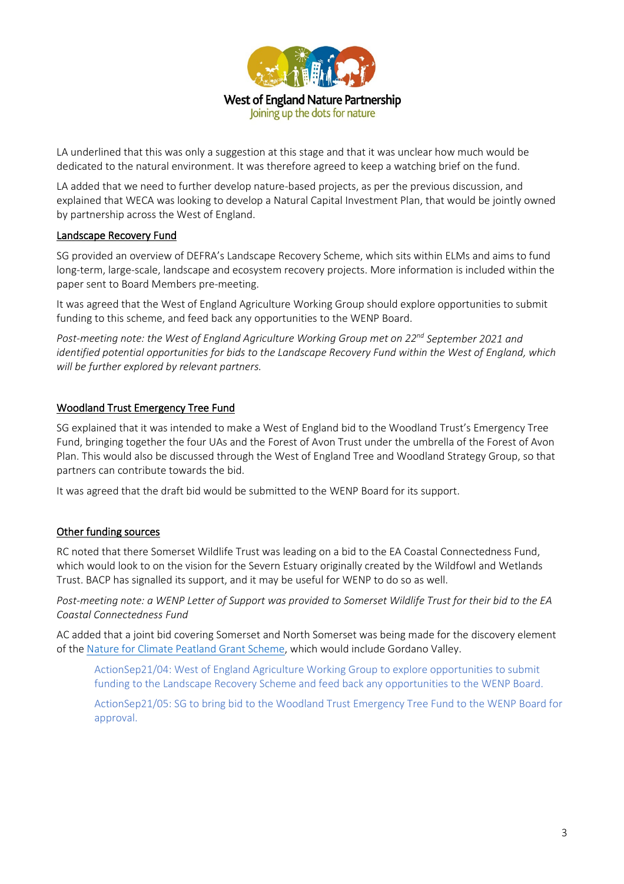

LA underlined that this was only a suggestion at this stage and that it was unclear how much would be dedicated to the natural environment. It was therefore agreed to keep a watching brief on the fund.

LA added that we need to further develop nature-based projects, as per the previous discussion, and explained that WECA was looking to develop a Natural Capital Investment Plan, that would be jointly owned by partnership across the West of England.

### Landscape Recovery Fund

SG provided an overview of DEFRA's Landscape Recovery Scheme, which sits within ELMs and aims to fund long-term, large-scale, landscape and ecosystem recovery projects. More information is included within the paper sent to Board Members pre-meeting.

It was agreed that the West of England Agriculture Working Group should explore opportunities to submit funding to this scheme, and feed back any opportunities to the WENP Board.

*Post-meeting note: the West of England Agriculture Working Group met on 22nd September 2021 and identified potential opportunities for bids to the Landscape Recovery Fund within the West of England, which will be further explored by relevant partners.* 

#### Woodland Trust Emergency Tree Fund

SG explained that it was intended to make a West of England bid to the Woodland Trust's Emergency Tree Fund, bringing together the four UAs and the Forest of Avon Trust under the umbrella of the Forest of Avon Plan. This would also be discussed through the West of England Tree and Woodland Strategy Group, so that partners can contribute towards the bid.

It was agreed that the draft bid would be submitted to the WENP Board for its support.

#### Other funding sources

RC noted that there Somerset Wildlife Trust was leading on a bid to the EA Coastal Connectedness Fund, which would look to on the vision for the Severn Estuary originally created by the Wildfowl and Wetlands Trust. BACP has signalled its support, and it may be useful for WENP to do so as well.

*Post-meeting note: a WENP Letter of Support was provided to Somerset Wildlife Trust for their bid to the EA Coastal Connectedness Fund*

AC added that a joint bid covering Somerset and North Somerset was being made for the discovery element of the [Nature for Climate Peatland Grant Scheme,](https://www.gov.uk/guidance/nature-for-climate-peatland-grant-scheme) which would include Gordano Valley.

ActionSep21/04: West of England Agriculture Working Group to explore opportunities to submit funding to the Landscape Recovery Scheme and feed back any opportunities to the WENP Board.

ActionSep21/05: SG to bring bid to the Woodland Trust Emergency Tree Fund to the WENP Board for approval.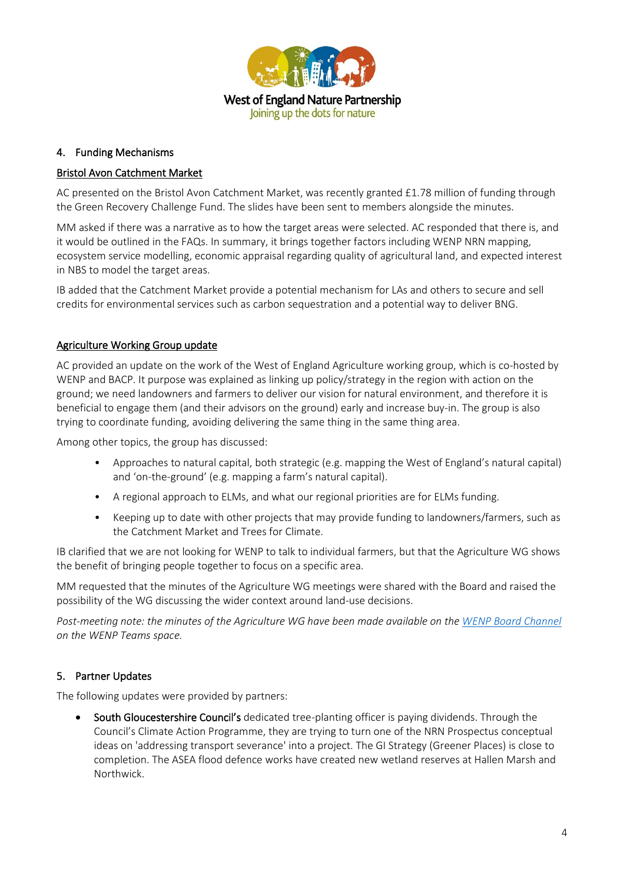

### 4. Funding Mechanisms

## Bristol Avon Catchment Market

AC presented on the Bristol Avon Catchment Market, was recently granted £1.78 million of funding through the Green Recovery Challenge Fund. The slides have been sent to members alongside the minutes.

MM asked if there was a narrative as to how the target areas were selected. AC responded that there is, and it would be outlined in the FAQs. In summary, it brings together factors including WENP NRN mapping, ecosystem service modelling, economic appraisal regarding quality of agricultural land, and expected interest in NBS to model the target areas.

IB added that the Catchment Market provide a potential mechanism for LAs and others to secure and sell credits for environmental services such as carbon sequestration and a potential way to deliver BNG.

#### Agriculture Working Group update

AC provided an update on the work of the West of England Agriculture working group, which is co-hosted by WENP and BACP. It purpose was explained as linking up policy/strategy in the region with action on the ground; we need landowners and farmers to deliver our vision for natural environment, and therefore it is beneficial to engage them (and their advisors on the ground) early and increase buy-in. The group is also trying to coordinate funding, avoiding delivering the same thing in the same thing area.

Among other topics, the group has discussed:

- Approaches to natural capital, both strategic (e.g. mapping the West of England's natural capital) and 'on-the-ground' (e.g. mapping a farm's natural capital).
- A regional approach to ELMs, and what our regional priorities are for ELMs funding.
- Keeping up to date with other projects that may provide funding to landowners/farmers, such as the Catchment Market and Trees for Climate.

IB clarified that we are not looking for WENP to talk to individual farmers, but that the Agriculture WG shows the benefit of bringing people together to focus on a specific area.

MM requested that the minutes of the Agriculture WG meetings were shared with the Board and raised the possibility of the WG discussing the wider context around land-use decisions.

*Post-meeting note: the minutes of the Agriculture WG have been made available on th[e WENP Board Channel](https://teams.microsoft.com/_#/files/WENP%20Board?threadId=19%3Af10ec292c26d4db6b0534fb508891730%40thread.tacv2&ctx=channel&context=WENP%2520Board&rootfolder=%252Fsites%252FWENP-WENPBoard%252FShared%2520Documents%252FWENP%2520Board) on the WENP Teams space.* 

### 5. Partner Updates

The following updates were provided by partners:

South Gloucestershire Council's dedicated tree-planting officer is paying dividends. Through the Council's Climate Action Programme, they are trying to turn one of the NRN Prospectus conceptual ideas on 'addressing transport severance' into a project. The GI Strategy (Greener Places) is close to completion. The ASEA flood defence works have created new wetland reserves at Hallen Marsh and Northwick.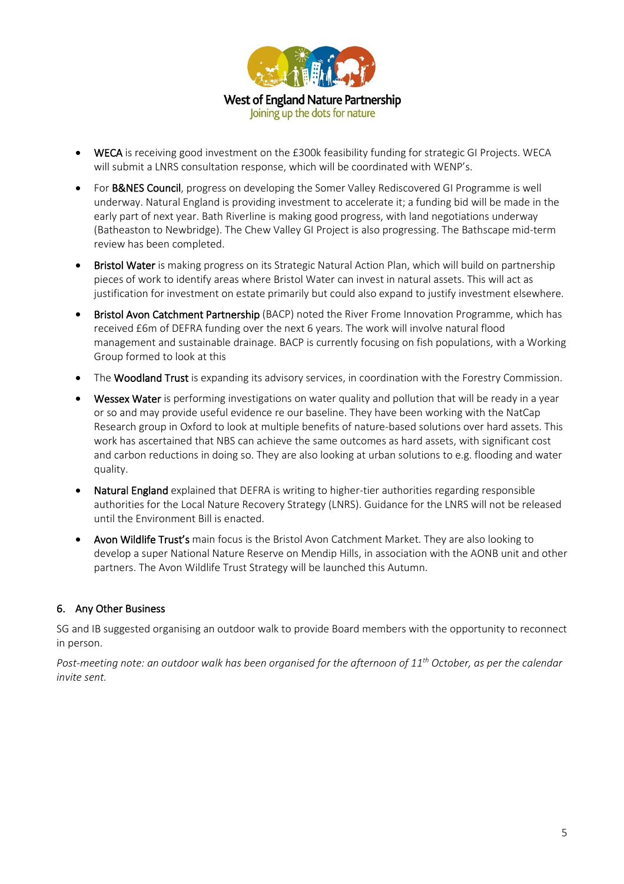

- WECA is receiving good investment on the £300k feasibility funding for strategic GI Projects. WECA will submit a LNRS consultation response, which will be coordinated with WENP's.
- For B&NES Council, progress on developing the Somer Valley Rediscovered GI Programme is well underway. Natural England is providing investment to accelerate it; a funding bid will be made in the early part of next year. Bath Riverline is making good progress, with land negotiations underway (Batheaston to Newbridge). The Chew Valley GI Project is also progressing. The Bathscape mid-term review has been completed.
- Bristol Water is making progress on its Strategic Natural Action Plan, which will build on partnership pieces of work to identify areas where Bristol Water can invest in natural assets. This will act as justification for investment on estate primarily but could also expand to justify investment elsewhere.
- Bristol Avon Catchment Partnership (BACP) noted the River Frome Innovation Programme, which has received £6m of DEFRA funding over the next 6 years. The work will involve natural flood management and sustainable drainage. BACP is currently focusing on fish populations, with a Working Group formed to look at this
- The Woodland Trust is expanding its advisory services, in coordination with the Forestry Commission.
- Wessex Water is performing investigations on water quality and pollution that will be ready in a year or so and may provide useful evidence re our baseline. They have been working with the NatCap Research group in Oxford to look at multiple benefits of nature-based solutions over hard assets. This work has ascertained that NBS can achieve the same outcomes as hard assets, with significant cost and carbon reductions in doing so. They are also looking at urban solutions to e.g. flooding and water quality.
- Natural England explained that DEFRA is writing to higher-tier authorities regarding responsible authorities for the Local Nature Recovery Strategy (LNRS). Guidance for the LNRS will not be released until the Environment Bill is enacted.
- Avon Wildlife Trust's main focus is the Bristol Avon Catchment Market. They are also looking to develop a super National Nature Reserve on Mendip Hills, in association with the AONB unit and other partners. The Avon Wildlife Trust Strategy will be launched this Autumn.

### 6. Any Other Business

SG and IB suggested organising an outdoor walk to provide Board members with the opportunity to reconnect in person.

*Post-meeting note: an outdoor walk has been organised for the afternoon of 11th October, as per the calendar invite sent.*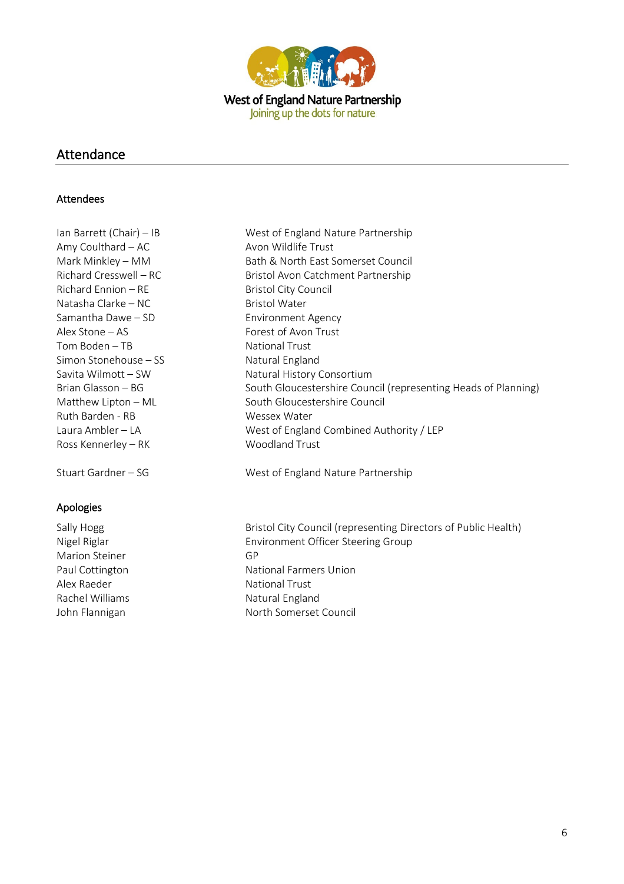

## Attendance

#### Attendees

Ian Barrett (Chair) – IB West of England Nature Partnership Amy Coulthard – AC Avon Wildlife Trust Richard Ennion – RE Bristol City Council Natasha Clarke – NC Bristol Water Samantha Dawe – SD Environment Agency Alex Stone – AS Forest of Avon Trust Tom Boden – TB National Trust Simon Stonehouse – SS Natural England Ruth Barden - RB Wessex Water Ross Kennerley – RK Woodland Trust

## Apologies

Marion Steiner GP Alex Raeder National Trust Rachel Williams Natural England

Mark Minkley – MM Bath & North East Somerset Council Richard Cresswell – RC Bristol Avon Catchment Partnership Savita Wilmott – SW Natural History Consortium Brian Glasson – BG South Gloucestershire Council (representing Heads of Planning) Matthew Lipton – ML South Gloucestershire Council Laura Ambler – LA West of England Combined Authority / LEP

Stuart Gardner – SG West of England Nature Partnership

Sally Hogg **Bristol City Council (representing Directors of Public Health)** Bristol City Council (representing Directors of Public Health) Nigel Riglar Environment Officer Steering Group Paul Cottington **National Farmers Union** John Flannigan North Somerset Council